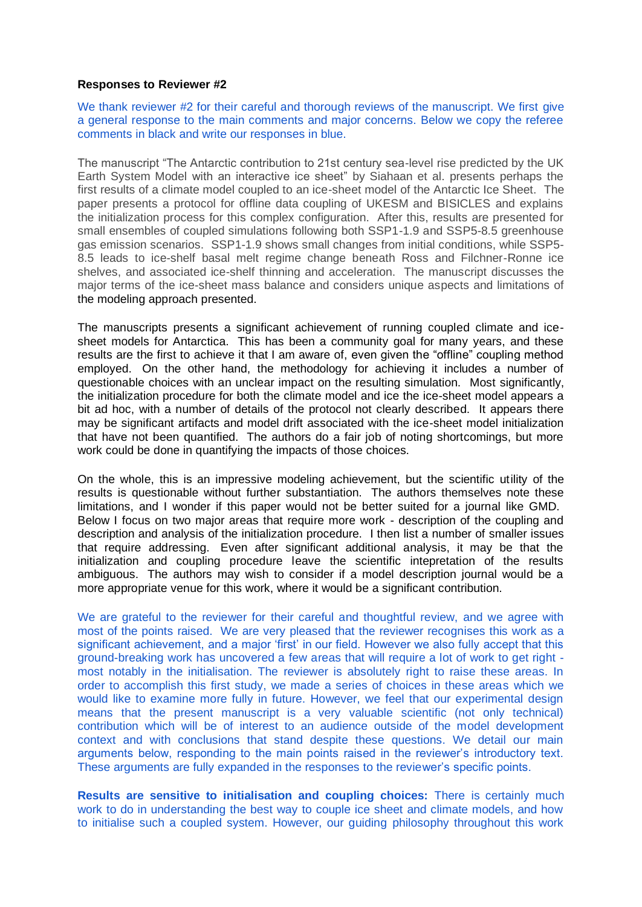### **Responses to Reviewer #2**

We thank reviewer #2 for their careful and thorough reviews of the manuscript. We first give a general response to the main comments and major concerns. Below we copy the referee comments in black and write our responses in blue.

The manuscript "The Antarctic contribution to 21st century sea-level rise predicted by the UK Earth System Model with an interactive ice sheet" by Siahaan et al. presents perhaps the first results of a climate model coupled to an ice-sheet model of the Antarctic Ice Sheet. The paper presents a protocol for offline data coupling of UKESM and BISICLES and explains the initialization process for this complex configuration. After this, results are presented for small ensembles of coupled simulations following both SSP1-1.9 and SSP5-8.5 greenhouse gas emission scenarios. SSP1-1.9 shows small changes from initial conditions, while SSP5- 8.5 leads to ice-shelf basal melt regime change beneath Ross and Filchner-Ronne ice shelves, and associated ice-shelf thinning and acceleration. The manuscript discusses the major terms of the ice-sheet mass balance and considers unique aspects and limitations of the modeling approach presented.

The manuscripts presents a significant achievement of running coupled climate and icesheet models for Antarctica. This has been a community goal for many years, and these results are the first to achieve it that I am aware of, even given the "offline" coupling method employed. On the other hand, the methodology for achieving it includes a number of questionable choices with an unclear impact on the resulting simulation. Most significantly, the initialization procedure for both the climate model and ice the ice-sheet model appears a bit ad hoc, with a number of details of the protocol not clearly described. It appears there may be significant artifacts and model drift associated with the ice-sheet model initialization that have not been quantified. The authors do a fair job of noting shortcomings, but more work could be done in quantifying the impacts of those choices.

On the whole, this is an impressive modeling achievement, but the scientific utility of the results is questionable without further substantiation. The authors themselves note these limitations, and I wonder if this paper would not be better suited for a journal like GMD. Below I focus on two major areas that require more work - description of the coupling and description and analysis of the initialization procedure. I then list a number of smaller issues that require addressing. Even after significant additional analysis, it may be that the initialization and coupling procedure leave the scientific intepretation of the results ambiguous. The authors may wish to consider if a model description journal would be a more appropriate venue for this work, where it would be a significant contribution.

We are grateful to the reviewer for their careful and thoughtful review, and we agree with most of the points raised. We are very pleased that the reviewer recognises this work as a significant achievement, and a major 'first' in our field. However we also fully accept that this ground-breaking work has uncovered a few areas that will require a lot of work to get right most notably in the initialisation. The reviewer is absolutely right to raise these areas. In order to accomplish this first study, we made a series of choices in these areas which we would like to examine more fully in future. However, we feel that our experimental design means that the present manuscript is a very valuable scientific (not only technical) contribution which will be of interest to an audience outside of the model development context and with conclusions that stand despite these questions. We detail our main arguments below, responding to the main points raised in the reviewer's introductory text. These arguments are fully expanded in the responses to the reviewer's specific points.

**Results are sensitive to initialisation and coupling choices:** There is certainly much work to do in understanding the best way to couple ice sheet and climate models, and how to initialise such a coupled system. However, our guiding philosophy throughout this work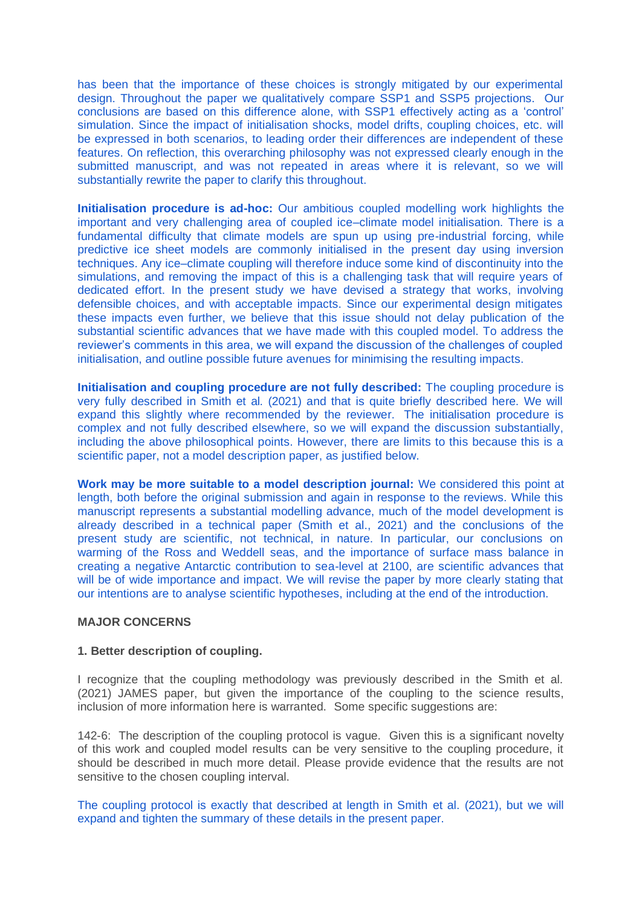has been that the importance of these choices is strongly mitigated by our experimental design. Throughout the paper we qualitatively compare SSP1 and SSP5 projections. Our conclusions are based on this difference alone, with SSP1 effectively acting as a 'control' simulation. Since the impact of initialisation shocks, model drifts, coupling choices, etc. will be expressed in both scenarios, to leading order their differences are independent of these features. On reflection, this overarching philosophy was not expressed clearly enough in the submitted manuscript, and was not repeated in areas where it is relevant, so we will substantially rewrite the paper to clarify this throughout.

**Initialisation procedure is ad-hoc:** Our ambitious coupled modelling work highlights the important and very challenging area of coupled ice–climate model initialisation. There is a fundamental difficulty that climate models are spun up using pre-industrial forcing, while predictive ice sheet models are commonly initialised in the present day using inversion techniques. Any ice–climate coupling will therefore induce some kind of discontinuity into the simulations, and removing the impact of this is a challenging task that will require years of dedicated effort. In the present study we have devised a strategy that works, involving defensible choices, and with acceptable impacts. Since our experimental design mitigates these impacts even further, we believe that this issue should not delay publication of the substantial scientific advances that we have made with this coupled model. To address the reviewer's comments in this area, we will expand the discussion of the challenges of coupled initialisation, and outline possible future avenues for minimising the resulting impacts.

**Initialisation and coupling procedure are not fully described:** The coupling procedure is very fully described in Smith et al. (2021) and that is quite briefly described here. We will expand this slightly where recommended by the reviewer. The initialisation procedure is complex and not fully described elsewhere, so we will expand the discussion substantially, including the above philosophical points. However, there are limits to this because this is a scientific paper, not a model description paper, as justified below.

**Work may be more suitable to a model description journal:** We considered this point at length, both before the original submission and again in response to the reviews. While this manuscript represents a substantial modelling advance, much of the model development is already described in a technical paper (Smith et al., 2021) and the conclusions of the present study are scientific, not technical, in nature. In particular, our conclusions on warming of the Ross and Weddell seas, and the importance of surface mass balance in creating a negative Antarctic contribution to sea-level at 2100, are scientific advances that will be of wide importance and impact. We will revise the paper by more clearly stating that our intentions are to analyse scientific hypotheses, including at the end of the introduction.

# **MAJOR CONCERNS**

## **1. Better description of coupling.**

I recognize that the coupling methodology was previously described in the Smith et al. (2021) JAMES paper, but given the importance of the coupling to the science results, inclusion of more information here is warranted. Some specific suggestions are:

142-6: The description of the coupling protocol is vague. Given this is a significant novelty of this work and coupled model results can be very sensitive to the coupling procedure, it should be described in much more detail. Please provide evidence that the results are not sensitive to the chosen coupling interval.

The coupling protocol is exactly that described at length in Smith et al. (2021), but we will expand and tighten the summary of these details in the present paper.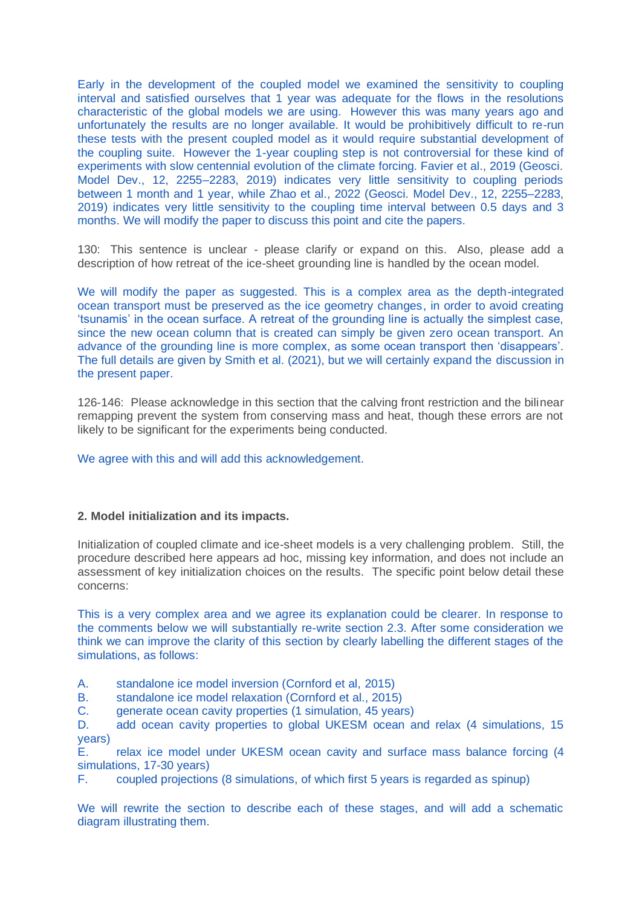Early in the development of the coupled model we examined the sensitivity to coupling interval and satisfied ourselves that 1 year was adequate for the flows in the resolutions characteristic of the global models we are using. However this was many years ago and unfortunately the results are no longer available. It would be prohibitively difficult to re-run these tests with the present coupled model as it would require substantial development of the coupling suite. However the 1-year coupling step is not controversial for these kind of experiments with slow centennial evolution of the climate forcing. Favier et al., 2019 (Geosci. Model Dev., 12, 2255–2283, 2019) indicates very little sensitivity to coupling periods between 1 month and 1 year, while Zhao et al., 2022 (Geosci. Model Dev., 12, 2255–2283, 2019) indicates very little sensitivity to the coupling time interval between 0.5 days and 3 months. We will modify the paper to discuss this point and cite the papers.

130: This sentence is unclear - please clarify or expand on this. Also, please add a description of how retreat of the ice-sheet grounding line is handled by the ocean model.

We will modify the paper as suggested. This is a complex area as the depth-integrated ocean transport must be preserved as the ice geometry changes, in order to avoid creating 'tsunamis' in the ocean surface. A retreat of the grounding line is actually the simplest case, since the new ocean column that is created can simply be given zero ocean transport. An advance of the grounding line is more complex, as some ocean transport then 'disappears'. The full details are given by Smith et al. (2021), but we will certainly expand the discussion in the present paper.

126-146: Please acknowledge in this section that the calving front restriction and the bilinear remapping prevent the system from conserving mass and heat, though these errors are not likely to be significant for the experiments being conducted.

We agree with this and will add this acknowledgement.

## **2. Model initialization and its impacts.**

Initialization of coupled climate and ice-sheet models is a very challenging problem. Still, the procedure described here appears ad hoc, missing key information, and does not include an assessment of key initialization choices on the results. The specific point below detail these concerns:

This is a very complex area and we agree its explanation could be clearer. In response to the comments below we will substantially re-write section 2.3. After some consideration we think we can improve the clarity of this section by clearly labelling the different stages of the simulations, as follows:

A. standalone ice model inversion (Cornford et al, 2015)

B. standalone ice model relaxation (Cornford et al., 2015)

C. generate ocean cavity properties (1 simulation, 45 years)

D. add ocean cavity properties to global UKESM ocean and relax (4 simulations, 15 years)

E. relax ice model under UKESM ocean cavity and surface mass balance forcing (4 simulations, 17-30 years)

F. coupled projections (8 simulations, of which first 5 years is regarded as spinup)

We will rewrite the section to describe each of these stages, and will add a schematic diagram illustrating them.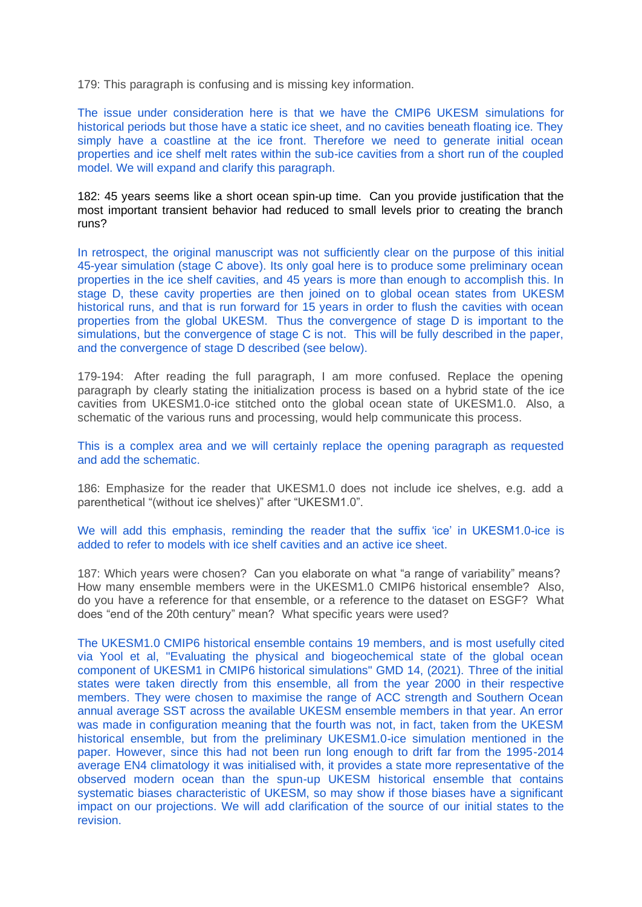179: This paragraph is confusing and is missing key information.

The issue under consideration here is that we have the CMIP6 UKESM simulations for historical periods but those have a static ice sheet, and no cavities beneath floating ice. They simply have a coastline at the ice front. Therefore we need to generate initial ocean properties and ice shelf melt rates within the sub-ice cavities from a short run of the coupled model. We will expand and clarify this paragraph.

182: 45 years seems like a short ocean spin-up time. Can you provide justification that the most important transient behavior had reduced to small levels prior to creating the branch runs?

In retrospect, the original manuscript was not sufficiently clear on the purpose of this initial 45-year simulation (stage C above). Its only goal here is to produce some preliminary ocean properties in the ice shelf cavities, and 45 years is more than enough to accomplish this. In stage D, these cavity properties are then joined on to global ocean states from UKESM historical runs, and that is run forward for 15 years in order to flush the cavities with ocean properties from the global UKESM. Thus the convergence of stage D is important to the simulations, but the convergence of stage C is not. This will be fully described in the paper, and the convergence of stage D described (see below).

179-194: After reading the full paragraph, I am more confused. Replace the opening paragraph by clearly stating the initialization process is based on a hybrid state of the ice cavities from UKESM1.0-ice stitched onto the global ocean state of UKESM1.0. Also, a schematic of the various runs and processing, would help communicate this process.

This is a complex area and we will certainly replace the opening paragraph as requested and add the schematic.

186: Emphasize for the reader that UKESM1.0 does not include ice shelves, e.g. add a parenthetical "(without ice shelves)" after "UKESM1.0".

We will add this emphasis, reminding the reader that the suffix 'ice' in UKESM1.0-ice is added to refer to models with ice shelf cavities and an active ice sheet.

187: Which years were chosen? Can you elaborate on what "a range of variability" means? How many ensemble members were in the UKESM1.0 CMIP6 historical ensemble? Also, do you have a reference for that ensemble, or a reference to the dataset on ESGF? What does "end of the 20th century" mean? What specific years were used?

The UKESM1.0 CMIP6 historical ensemble contains 19 members, and is most usefully cited via Yool et al, "Evaluating the physical and biogeochemical state of the global ocean component of UKESM1 in CMIP6 historical simulations" GMD 14, (2021). Three of the initial states were taken directly from this ensemble, all from the year 2000 in their respective members. They were chosen to maximise the range of ACC strength and Southern Ocean annual average SST across the available UKESM ensemble members in that year. An error was made in configuration meaning that the fourth was not, in fact, taken from the UKESM historical ensemble, but from the preliminary UKESM1.0-ice simulation mentioned in the paper. However, since this had not been run long enough to drift far from the 1995-2014 average EN4 climatology it was initialised with, it provides a state more representative of the observed modern ocean than the spun-up UKESM historical ensemble that contains systematic biases characteristic of UKESM, so may show if those biases have a significant impact on our projections. We will add clarification of the source of our initial states to the revision.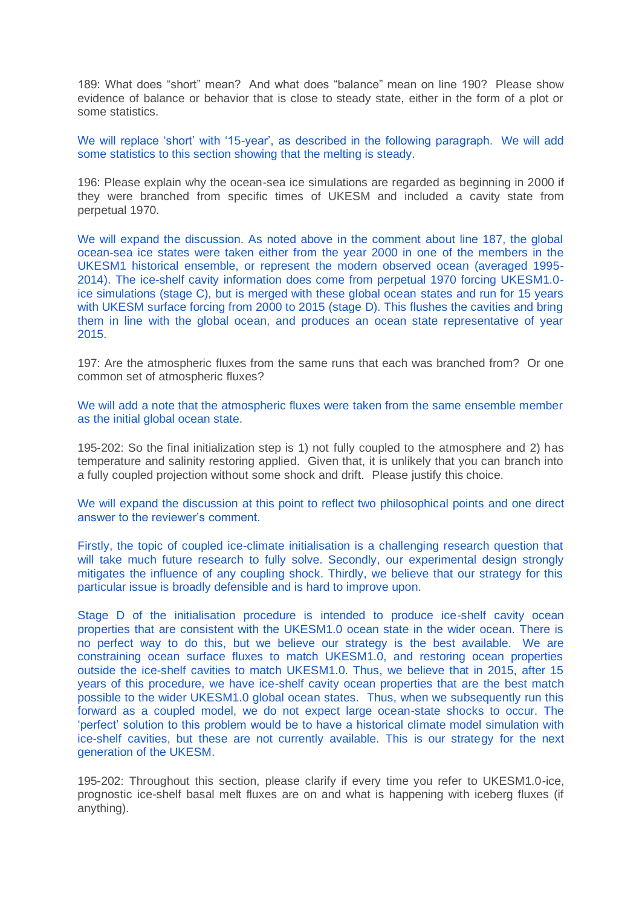189: What does "short" mean? And what does "balance" mean on line 190? Please show evidence of balance or behavior that is close to steady state, either in the form of a plot or some statistics.

We will replace 'short' with '15-year', as described in the following paragraph. We will add some statistics to this section showing that the melting is steady.

196: Please explain why the ocean-sea ice simulations are regarded as beginning in 2000 if they were branched from specific times of UKESM and included a cavity state from perpetual 1970.

We will expand the discussion. As noted above in the comment about line 187, the global ocean-sea ice states were taken either from the year 2000 in one of the members in the UKESM1 historical ensemble, or represent the modern observed ocean (averaged 1995- 2014). The ice-shelf cavity information does come from perpetual 1970 forcing UKESM1.0 ice simulations (stage C), but is merged with these global ocean states and run for 15 years with UKESM surface forcing from 2000 to 2015 (stage D). This flushes the cavities and bring them in line with the global ocean, and produces an ocean state representative of year 2015.

197: Are the atmospheric fluxes from the same runs that each was branched from? Or one common set of atmospheric fluxes?

We will add a note that the atmospheric fluxes were taken from the same ensemble member as the initial global ocean state.

195-202: So the final initialization step is 1) not fully coupled to the atmosphere and 2) has temperature and salinity restoring applied. Given that, it is unlikely that you can branch into a fully coupled projection without some shock and drift. Please justify this choice.

We will expand the discussion at this point to reflect two philosophical points and one direct answer to the reviewer's comment.

Firstly, the topic of coupled ice-climate initialisation is a challenging research question that will take much future research to fully solve. Secondly, our experimental design strongly mitigates the influence of any coupling shock. Thirdly, we believe that our strategy for this particular issue is broadly defensible and is hard to improve upon.

Stage D of the initialisation procedure is intended to produce ice-shelf cavity ocean properties that are consistent with the UKESM1.0 ocean state in the wider ocean. There is no perfect way to do this, but we believe our strategy is the best available. We are constraining ocean surface fluxes to match UKESM1.0, and restoring ocean properties outside the ice-shelf cavities to match UKESM1.0. Thus, we believe that in 2015, after 15 years of this procedure, we have ice-shelf cavity ocean properties that are the best match possible to the wider UKESM1.0 global ocean states. Thus, when we subsequently run this forward as a coupled model, we do not expect large ocean-state shocks to occur. The 'perfect' solution to this problem would be to have a historical climate model simulation with ice-shelf cavities, but these are not currently available. This is our strategy for the next generation of the UKESM.

195-202: Throughout this section, please clarify if every time you refer to UKESM1.0-ice, prognostic ice-shelf basal melt fluxes are on and what is happening with iceberg fluxes (if anything).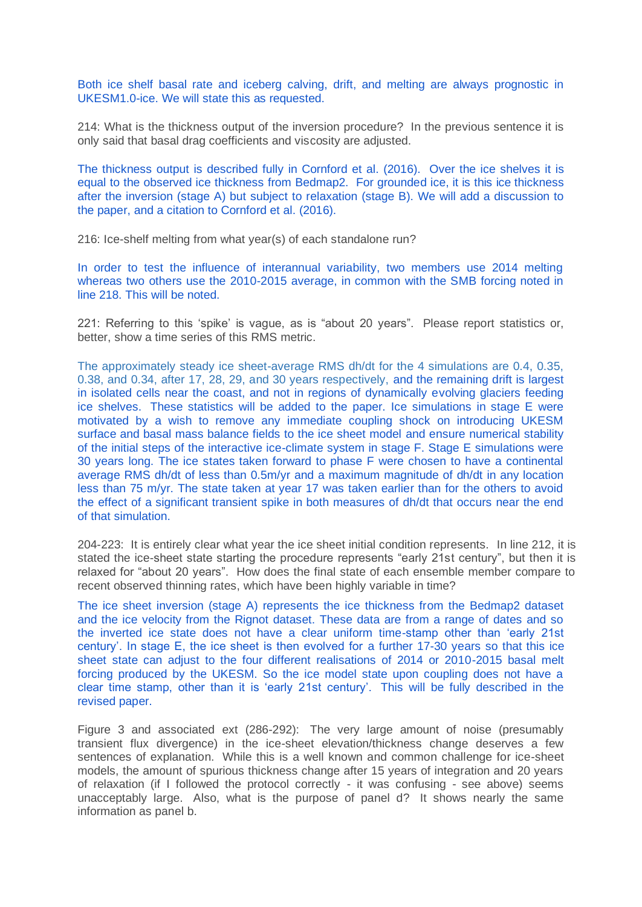Both ice shelf basal rate and iceberg calving, drift, and melting are always prognostic in UKESM1.0-ice. We will state this as requested.

214: What is the thickness output of the inversion procedure? In the previous sentence it is only said that basal drag coefficients and viscosity are adjusted.

The thickness output is described fully in Cornford et al. (2016). Over the ice shelves it is equal to the observed ice thickness from Bedmap2. For grounded ice, it is this ice thickness after the inversion (stage A) but subject to relaxation (stage B). We will add a discussion to the paper, and a citation to Cornford et al. (2016).

216: Ice-shelf melting from what year(s) of each standalone run?

In order to test the influence of interannual variability, two members use 2014 melting whereas two others use the 2010-2015 average, in common with the SMB forcing noted in line 218. This will be noted.

221: Referring to this 'spike' is vague, as is "about 20 years". Please report statistics or, better, show a time series of this RMS metric.

The approximately steady ice sheet-average RMS dh/dt for the 4 simulations are 0.4, 0.35, 0.38, and 0.34, after 17, 28, 29, and 30 years respectively, and the remaining drift is largest in isolated cells near the coast, and not in regions of dynamically evolving glaciers feeding ice shelves. These statistics will be added to the paper. Ice simulations in stage E were motivated by a wish to remove any immediate coupling shock on introducing UKESM surface and basal mass balance fields to the ice sheet model and ensure numerical stability of the initial steps of the interactive ice-climate system in stage F. Stage E simulations were 30 years long. The ice states taken forward to phase F were chosen to have a continental average RMS dh/dt of less than 0.5m/yr and a maximum magnitude of dh/dt in any location less than 75 m/yr. The state taken at year 17 was taken earlier than for the others to avoid the effect of a significant transient spike in both measures of dh/dt that occurs near the end of that simulation.

204-223: It is entirely clear what year the ice sheet initial condition represents. In line 212, it is stated the ice-sheet state starting the procedure represents "early 21st century", but then it is relaxed for "about 20 years". How does the final state of each ensemble member compare to recent observed thinning rates, which have been highly variable in time?

The ice sheet inversion (stage A) represents the ice thickness from the Bedmap2 dataset and the ice velocity from the Rignot dataset. These data are from a range of dates and so the inverted ice state does not have a clear uniform time-stamp other than 'early 21st century'. In stage E, the ice sheet is then evolved for a further 17-30 years so that this ice sheet state can adjust to the four different realisations of 2014 or 2010-2015 basal melt forcing produced by the UKESM. So the ice model state upon coupling does not have a clear time stamp, other than it is 'early 21st century'. This will be fully described in the revised paper.

Figure 3 and associated ext (286-292): The very large amount of noise (presumably transient flux divergence) in the ice-sheet elevation/thickness change deserves a few sentences of explanation. While this is a well known and common challenge for ice-sheet models, the amount of spurious thickness change after 15 years of integration and 20 years of relaxation (if I followed the protocol correctly - it was confusing - see above) seems unacceptably large. Also, what is the purpose of panel d? It shows nearly the same information as panel b.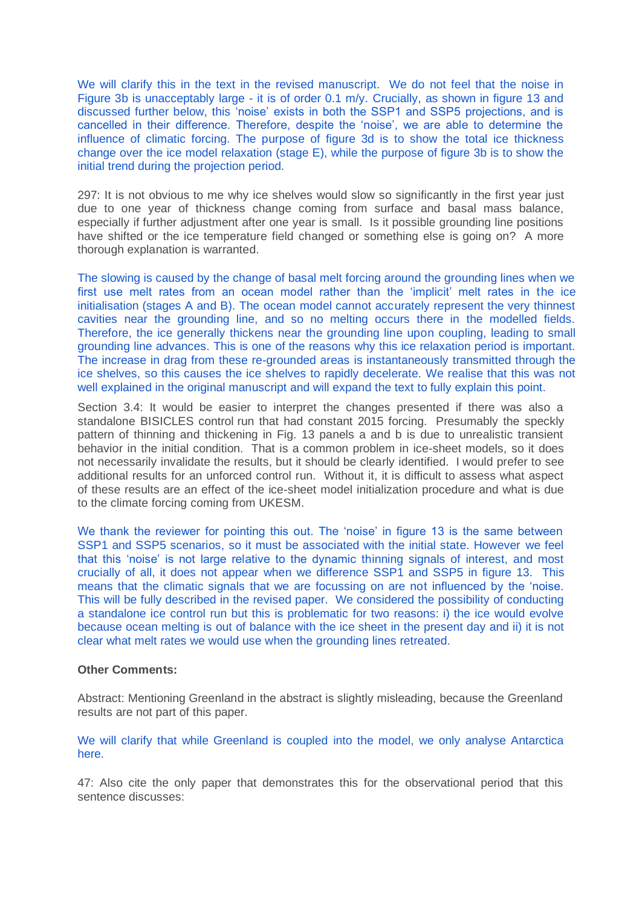We will clarify this in the text in the revised manuscript. We do not feel that the noise in Figure 3b is unacceptably large - it is of order 0.1 m/y. Crucially, as shown in figure 13 and discussed further below, this 'noise' exists in both the SSP1 and SSP5 projections, and is cancelled in their difference. Therefore, despite the 'noise', we are able to determine the influence of climatic forcing. The purpose of figure 3d is to show the total ice thickness change over the ice model relaxation (stage E), while the purpose of figure 3b is to show the initial trend during the projection period.

297: It is not obvious to me why ice shelves would slow so significantly in the first year just due to one year of thickness change coming from surface and basal mass balance, especially if further adjustment after one year is small. Is it possible grounding line positions have shifted or the ice temperature field changed or something else is going on? A more thorough explanation is warranted.

The slowing is caused by the change of basal melt forcing around the grounding lines when we first use melt rates from an ocean model rather than the 'implicit' melt rates in the ice initialisation (stages A and B). The ocean model cannot accurately represent the very thinnest cavities near the grounding line, and so no melting occurs there in the modelled fields. Therefore, the ice generally thickens near the grounding line upon coupling, leading to small grounding line advances. This is one of the reasons why this ice relaxation period is important. The increase in drag from these re-grounded areas is instantaneously transmitted through the ice shelves, so this causes the ice shelves to rapidly decelerate. We realise that this was not well explained in the original manuscript and will expand the text to fully explain this point.

Section 3.4: It would be easier to interpret the changes presented if there was also a standalone BISICLES control run that had constant 2015 forcing. Presumably the speckly pattern of thinning and thickening in Fig. 13 panels a and b is due to unrealistic transient behavior in the initial condition. That is a common problem in ice-sheet models, so it does not necessarily invalidate the results, but it should be clearly identified. I would prefer to see additional results for an unforced control run. Without it, it is difficult to assess what aspect of these results are an effect of the ice-sheet model initialization procedure and what is due to the climate forcing coming from UKESM.

We thank the reviewer for pointing this out. The 'noise' in figure 13 is the same between SSP1 and SSP5 scenarios, so it must be associated with the initial state. However we feel that this 'noise' is not large relative to the dynamic thinning signals of interest, and most crucially of all, it does not appear when we difference SSP1 and SSP5 in figure 13. This means that the climatic signals that we are focussing on are not influenced by the 'noise. This will be fully described in the revised paper. We considered the possibility of conducting a standalone ice control run but this is problematic for two reasons: i) the ice would evolve because ocean melting is out of balance with the ice sheet in the present day and ii) it is not clear what melt rates we would use when the grounding lines retreated.

### **Other Comments:**

Abstract: Mentioning Greenland in the abstract is slightly misleading, because the Greenland results are not part of this paper.

We will clarify that while Greenland is coupled into the model, we only analyse Antarctica here.

47: Also cite the only paper that demonstrates this for the observational period that this sentence discusses: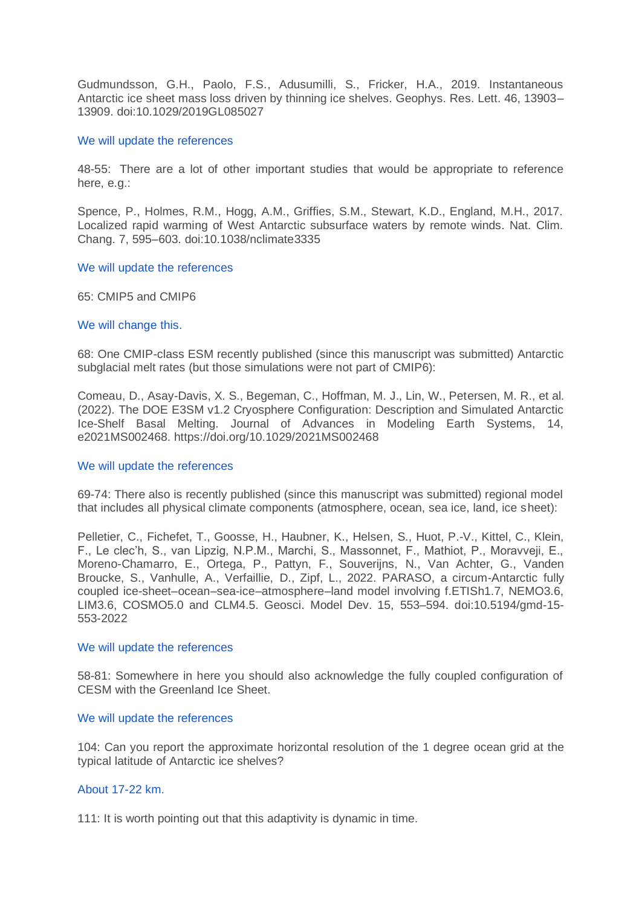Gudmundsson, G.H., Paolo, F.S., Adusumilli, S., Fricker, H.A., 2019. Instantaneous Antarctic ice sheet mass loss driven by thinning ice shelves. Geophys. Res. Lett. 46, 13903– 13909. doi:10.1029/2019GL085027

### We will update the references

48-55: There are a lot of other important studies that would be appropriate to reference here, e.g.:

Spence, P., Holmes, R.M., Hogg, A.M., Griffies, S.M., Stewart, K.D., England, M.H., 2017. Localized rapid warming of West Antarctic subsurface waters by remote winds. Nat. Clim. Chang. 7, 595–603. doi:10.1038/nclimate3335

### We will update the references

65: CMIP5 and CMIP6

### We will change this.

68: One CMIP-class ESM recently published (since this manuscript was submitted) Antarctic subglacial melt rates (but those simulations were not part of CMIP6):

Comeau, D., Asay-Davis, X. S., Begeman, C., Hoffman, M. J., Lin, W., Petersen, M. R., et al. (2022). The DOE E3SM v1.2 Cryosphere Configuration: Description and Simulated Antarctic Ice-Shelf Basal Melting. Journal of Advances in Modeling Earth Systems, 14, e2021MS002468. https://doi.org/10.1029/2021MS002468

#### We will update the references

69-74: There also is recently published (since this manuscript was submitted) regional model that includes all physical climate components (atmosphere, ocean, sea ice, land, ice sheet):

Pelletier, C., Fichefet, T., Goosse, H., Haubner, K., Helsen, S., Huot, P.-V., Kittel, C., Klein, F., Le clec'h, S., van Lipzig, N.P.M., Marchi, S., Massonnet, F., Mathiot, P., Moravveji, E., Moreno-Chamarro, E., Ortega, P., Pattyn, F., Souverijns, N., Van Achter, G., Vanden Broucke, S., Vanhulle, A., Verfaillie, D., Zipf, L., 2022. PARASO, a circum-Antarctic fully coupled ice-sheet–ocean–sea-ice–atmosphere–land model involving f.ETISh1.7, NEMO3.6, LIM3.6, COSMO5.0 and CLM4.5. Geosci. Model Dev. 15, 553–594. doi:10.5194/gmd-15- 553-2022

#### We will update the references

58-81: Somewhere in here you should also acknowledge the fully coupled configuration of CESM with the Greenland Ice Sheet.

## We will update the references

104: Can you report the approximate horizontal resolution of the 1 degree ocean grid at the typical latitude of Antarctic ice shelves?

## About 17-22 km.

111: It is worth pointing out that this adaptivity is dynamic in time.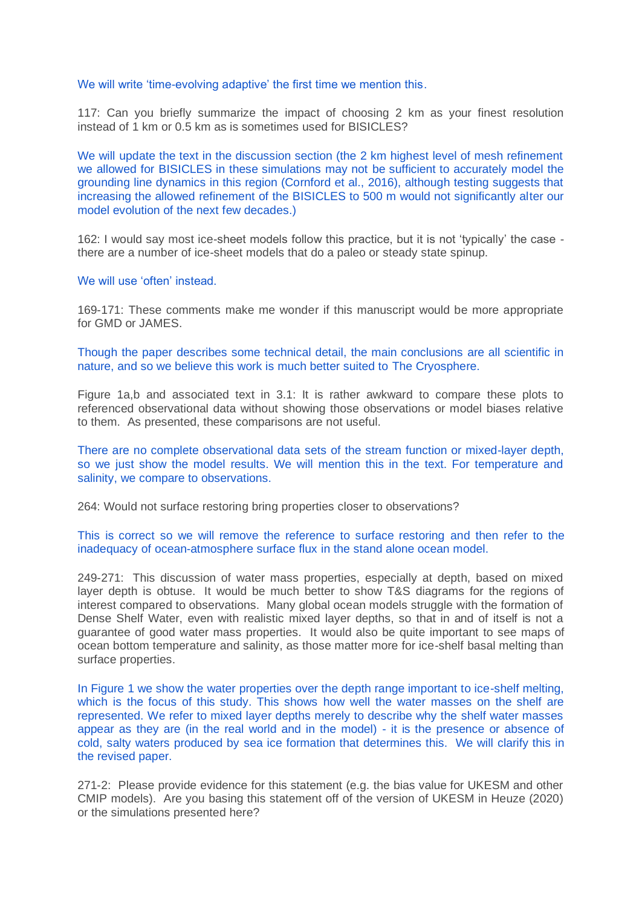#### We will write 'time-evolving adaptive' the first time we mention this.

117: Can you briefly summarize the impact of choosing 2 km as your finest resolution instead of 1 km or 0.5 km as is sometimes used for BISICLES?

We will update the text in the discussion section (the 2 km highest level of mesh refinement we allowed for BISICLES in these simulations may not be sufficient to accurately model the grounding line dynamics in this region (Cornford et al., 2016), although testing suggests that increasing the allowed refinement of the BISICLES to 500 m would not significantly alter our model evolution of the next few decades.)

162: I would say most ice-sheet models follow this practice, but it is not 'typically' the case there are a number of ice-sheet models that do a paleo or steady state spinup.

#### We will use 'often' instead.

169-171: These comments make me wonder if this manuscript would be more appropriate for GMD or JAMES.

Though the paper describes some technical detail, the main conclusions are all scientific in nature, and so we believe this work is much better suited to The Cryosphere.

Figure 1a,b and associated text in 3.1: It is rather awkward to compare these plots to referenced observational data without showing those observations or model biases relative to them. As presented, these comparisons are not useful.

There are no complete observational data sets of the stream function or mixed-layer depth, so we just show the model results. We will mention this in the text. For temperature and salinity, we compare to observations.

264: Would not surface restoring bring properties closer to observations?

# This is correct so we will remove the reference to surface restoring and then refer to the inadequacy of ocean-atmosphere surface flux in the stand alone ocean model.

249-271: This discussion of water mass properties, especially at depth, based on mixed layer depth is obtuse. It would be much better to show T&S diagrams for the regions of interest compared to observations. Many global ocean models struggle with the formation of Dense Shelf Water, even with realistic mixed layer depths, so that in and of itself is not a guarantee of good water mass properties. It would also be quite important to see maps of ocean bottom temperature and salinity, as those matter more for ice-shelf basal melting than surface properties.

In Figure 1 we show the water properties over the depth range important to ice-shelf melting, which is the focus of this study. This shows how well the water masses on the shelf are represented. We refer to mixed layer depths merely to describe why the shelf water masses appear as they are (in the real world and in the model) - it is the presence or absence of cold, salty waters produced by sea ice formation that determines this. We will clarify this in the revised paper.

271-2: Please provide evidence for this statement (e.g. the bias value for UKESM and other CMIP models). Are you basing this statement off of the version of UKESM in Heuze (2020) or the simulations presented here?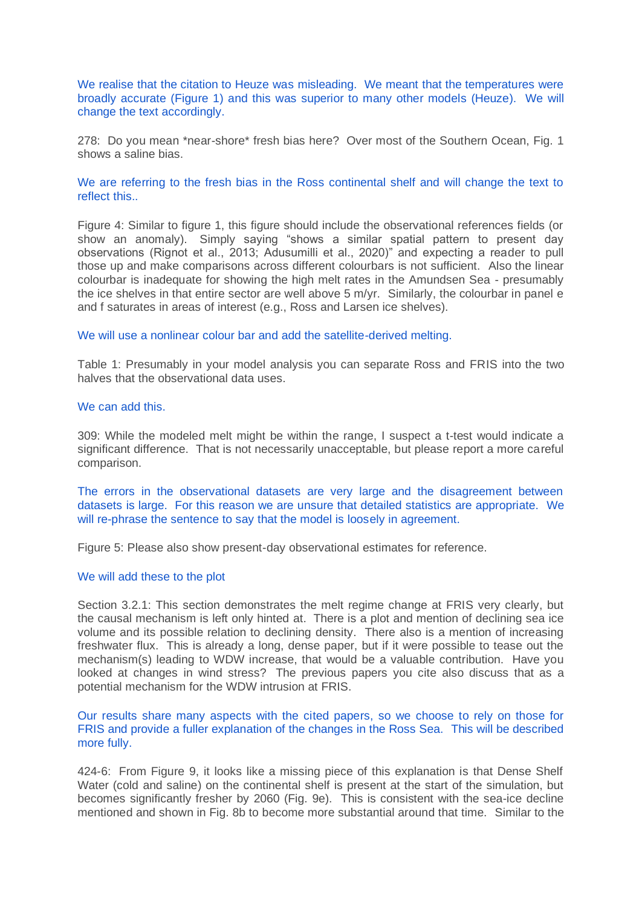We realise that the citation to Heuze was misleading. We meant that the temperatures were broadly accurate (Figure 1) and this was superior to many other models (Heuze). We will change the text accordingly.

278: Do you mean \*near-shore\* fresh bias here? Over most of the Southern Ocean, Fig. 1 shows a saline bias.

## We are referring to the fresh bias in the Ross continental shelf and will change the text to reflect this..

Figure 4: Similar to figure 1, this figure should include the observational references fields (or show an anomaly). Simply saying "shows a similar spatial pattern to present day observations (Rignot et al., 2013; Adusumilli et al., 2020)" and expecting a reader to pull those up and make comparisons across different colourbars is not sufficient. Also the linear colourbar is inadequate for showing the high melt rates in the Amundsen Sea - presumably the ice shelves in that entire sector are well above 5 m/yr. Similarly, the colourbar in panel e and f saturates in areas of interest (e.g., Ross and Larsen ice shelves).

### We will use a nonlinear colour bar and add the satellite-derived melting.

Table 1: Presumably in your model analysis you can separate Ross and FRIS into the two halves that the observational data uses.

## We can add this.

309: While the modeled melt might be within the range, I suspect a t-test would indicate a significant difference. That is not necessarily unacceptable, but please report a more careful comparison.

The errors in the observational datasets are very large and the disagreement between datasets is large. For this reason we are unsure that detailed statistics are appropriate. We will re-phrase the sentence to say that the model is loosely in agreement.

Figure 5: Please also show present-day observational estimates for reference.

#### We will add these to the plot

Section 3.2.1: This section demonstrates the melt regime change at FRIS very clearly, but the causal mechanism is left only hinted at. There is a plot and mention of declining sea ice volume and its possible relation to declining density. There also is a mention of increasing freshwater flux. This is already a long, dense paper, but if it were possible to tease out the mechanism(s) leading to WDW increase, that would be a valuable contribution. Have you looked at changes in wind stress? The previous papers you cite also discuss that as a potential mechanism for the WDW intrusion at FRIS.

Our results share many aspects with the cited papers, so we choose to rely on those for FRIS and provide a fuller explanation of the changes in the Ross Sea. This will be described more fully.

424-6: From Figure 9, it looks like a missing piece of this explanation is that Dense Shelf Water (cold and saline) on the continental shelf is present at the start of the simulation, but becomes significantly fresher by 2060 (Fig. 9e). This is consistent with the sea-ice decline mentioned and shown in Fig. 8b to become more substantial around that time. Similar to the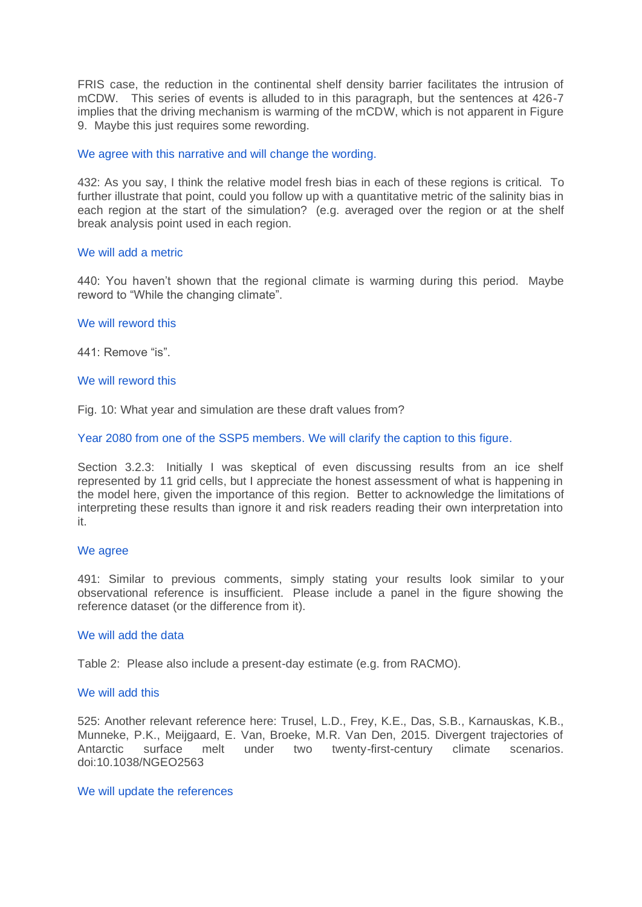FRIS case, the reduction in the continental shelf density barrier facilitates the intrusion of mCDW. This series of events is alluded to in this paragraph, but the sentences at 426-7 implies that the driving mechanism is warming of the mCDW, which is not apparent in Figure 9. Maybe this just requires some rewording.

## We agree with this narrative and will change the wording.

432: As you say, I think the relative model fresh bias in each of these regions is critical. To further illustrate that point, could you follow up with a quantitative metric of the salinity bias in each region at the start of the simulation? (e.g. averaged over the region or at the shelf break analysis point used in each region.

# We will add a metric

440: You haven't shown that the regional climate is warming during this period. Maybe reword to "While the changing climate".

# We will reword this

441: Remove "is".

# We will reword this

Fig. 10: What year and simulation are these draft values from?

Year 2080 from one of the SSP5 members. We will clarify the caption to this figure.

Section 3.2.3: Initially I was skeptical of even discussing results from an ice shelf represented by 11 grid cells, but I appreciate the honest assessment of what is happening in the model here, given the importance of this region. Better to acknowledge the limitations of interpreting these results than ignore it and risk readers reading their own interpretation into it.

## We agree

491: Similar to previous comments, simply stating your results look similar to your observational reference is insufficient. Please include a panel in the figure showing the reference dataset (or the difference from it).

## We will add the data

Table 2: Please also include a present-day estimate (e.g. from RACMO).

## We will add this

525: Another relevant reference here: Trusel, L.D., Frey, K.E., Das, S.B., Karnauskas, K.B., Munneke, P.K., Meijgaard, E. Van, Broeke, M.R. Van Den, 2015. Divergent trajectories of melt under two twenty-first-century climate scenarios. doi:10.1038/NGEO2563

## We will update the references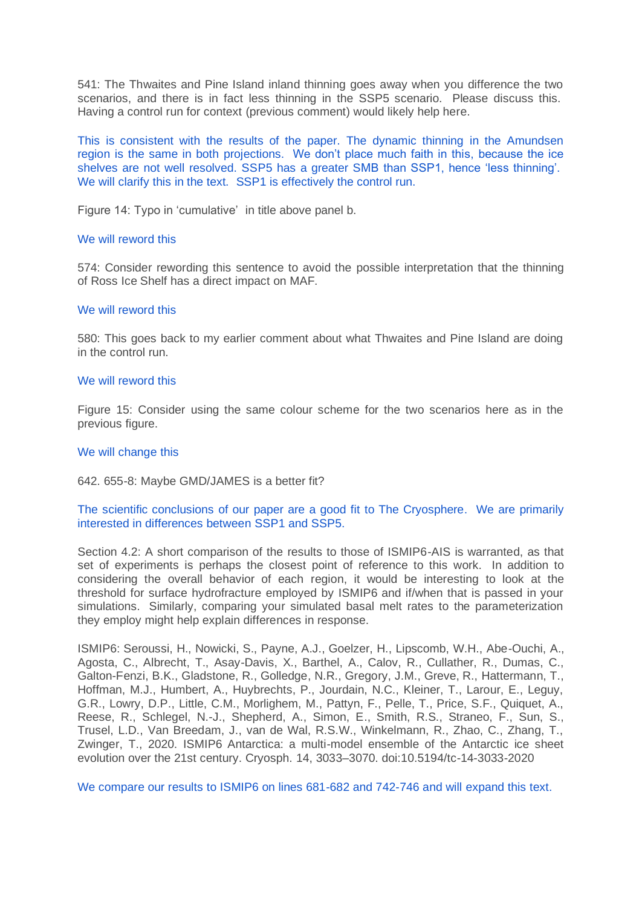541: The Thwaites and Pine Island inland thinning goes away when you difference the two scenarios, and there is in fact less thinning in the SSP5 scenario. Please discuss this. Having a control run for context (previous comment) would likely help here.

This is consistent with the results of the paper. The dynamic thinning in the Amundsen region is the same in both projections. We don't place much faith in this, because the ice shelves are not well resolved. SSP5 has a greater SMB than SSP1, hence 'less thinning'. We will clarify this in the text. SSP1 is effectively the control run.

Figure 14: Typo in 'cumulative' in title above panel b.

### We will reword this

574: Consider rewording this sentence to avoid the possible interpretation that the thinning of Ross Ice Shelf has a direct impact on MAF.

### We will reword this

580: This goes back to my earlier comment about what Thwaites and Pine Island are doing in the control run.

### We will reword this

Figure 15: Consider using the same colour scheme for the two scenarios here as in the previous figure.

### We will change this

### 642. 655-8: Maybe GMD/JAMES is a better fit?

# The scientific conclusions of our paper are a good fit to The Cryosphere. We are primarily interested in differences between SSP1 and SSP5.

Section 4.2: A short comparison of the results to those of ISMIP6-AIS is warranted, as that set of experiments is perhaps the closest point of reference to this work. In addition to considering the overall behavior of each region, it would be interesting to look at the threshold for surface hydrofracture employed by ISMIP6 and if/when that is passed in your simulations. Similarly, comparing your simulated basal melt rates to the parameterization they employ might help explain differences in response.

ISMIP6: Seroussi, H., Nowicki, S., Payne, A.J., Goelzer, H., Lipscomb, W.H., Abe-Ouchi, A., Agosta, C., Albrecht, T., Asay-Davis, X., Barthel, A., Calov, R., Cullather, R., Dumas, C., Galton-Fenzi, B.K., Gladstone, R., Golledge, N.R., Gregory, J.M., Greve, R., Hattermann, T., Hoffman, M.J., Humbert, A., Huybrechts, P., Jourdain, N.C., Kleiner, T., Larour, E., Leguy, G.R., Lowry, D.P., Little, C.M., Morlighem, M., Pattyn, F., Pelle, T., Price, S.F., Quiquet, A., Reese, R., Schlegel, N.-J., Shepherd, A., Simon, E., Smith, R.S., Straneo, F., Sun, S., Trusel, L.D., Van Breedam, J., van de Wal, R.S.W., Winkelmann, R., Zhao, C., Zhang, T., Zwinger, T., 2020. ISMIP6 Antarctica: a multi-model ensemble of the Antarctic ice sheet evolution over the 21st century. Cryosph. 14, 3033–3070. doi:10.5194/tc-14-3033-2020

We compare our results to ISMIP6 on lines 681-682 and 742-746 and will expand this text.